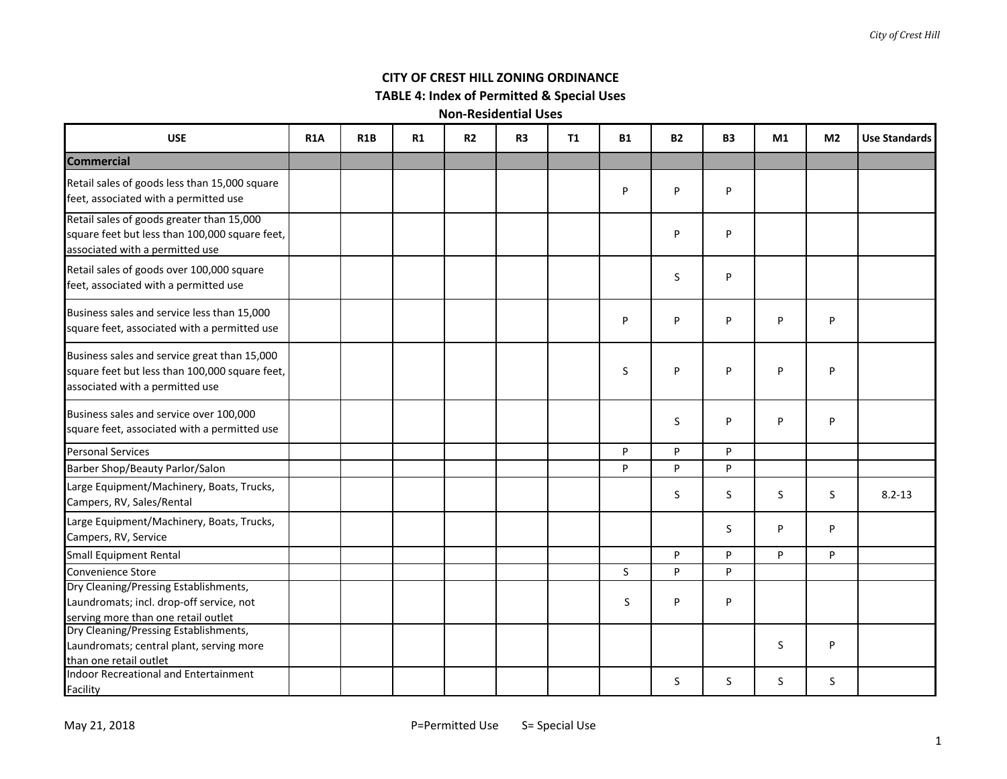# **CITY OF CREST HILL ZONING ORDINANCE**

# **TABLE 4: Index of Permitted & Special Uses**

| <b>USE</b>                                                                                                                        | <b>R1A</b> | R <sub>1</sub> B | R1 | <b>R2</b> | R <sub>3</sub> | T1 | <b>B1</b> | <b>B2</b> | <b>B3</b> | M1 | M <sub>2</sub> | <b>Use Standards</b> |
|-----------------------------------------------------------------------------------------------------------------------------------|------------|------------------|----|-----------|----------------|----|-----------|-----------|-----------|----|----------------|----------------------|
| <b>Commercial</b>                                                                                                                 |            |                  |    |           |                |    |           |           |           |    |                |                      |
| Retail sales of goods less than 15,000 square<br>feet, associated with a permitted use                                            |            |                  |    |           |                |    | P         | P         | P         |    |                |                      |
| Retail sales of goods greater than 15,000<br>square feet but less than 100,000 square feet,<br>associated with a permitted use    |            |                  |    |           |                |    |           | P         | P         |    |                |                      |
| Retail sales of goods over 100,000 square<br>feet, associated with a permitted use                                                |            |                  |    |           |                |    |           | S.        | P         |    |                |                      |
| Business sales and service less than 15,000<br>square feet, associated with a permitted use                                       |            |                  |    |           |                |    | P         | P         | P         | P  | P              |                      |
| Business sales and service great than 15,000<br>square feet but less than 100,000 square feet,<br>associated with a permitted use |            |                  |    |           |                |    | S         | P         | P         | P  | P              |                      |
| Business sales and service over 100,000<br>square feet, associated with a permitted use                                           |            |                  |    |           |                |    |           | S.        | P         | P  | P              |                      |
| <b>Personal Services</b>                                                                                                          |            |                  |    |           |                |    | P         | P         | P         |    |                |                      |
| Barber Shop/Beauty Parlor/Salon                                                                                                   |            |                  |    |           |                |    | P         | P         | P         |    |                |                      |
| Large Equipment/Machinery, Boats, Trucks,<br>Campers, RV, Sales/Rental                                                            |            |                  |    |           |                |    |           | S.        | S         | S  | S              | $8.2 - 13$           |
| Large Equipment/Machinery, Boats, Trucks,<br>Campers, RV, Service                                                                 |            |                  |    |           |                |    |           |           | S.        | P  | P              |                      |
| <b>Small Equipment Rental</b>                                                                                                     |            |                  |    |           |                |    |           | P         | P         | P  | P              |                      |
| Convenience Store                                                                                                                 |            |                  |    |           |                |    | S.        | P         | P         |    |                |                      |
| Dry Cleaning/Pressing Establishments,<br>Laundromats; incl. drop-off service, not<br>serving more than one retail outlet          |            |                  |    |           |                |    | S.        | P         | P         |    |                |                      |
| Dry Cleaning/Pressing Establishments,<br>Laundromats; central plant, serving more<br>than one retail outlet                       |            |                  |    |           |                |    |           |           |           | S  | P              |                      |
| Indoor Recreational and Entertainment<br>Facility                                                                                 |            |                  |    |           |                |    |           | S.        | S.        | S. | S              |                      |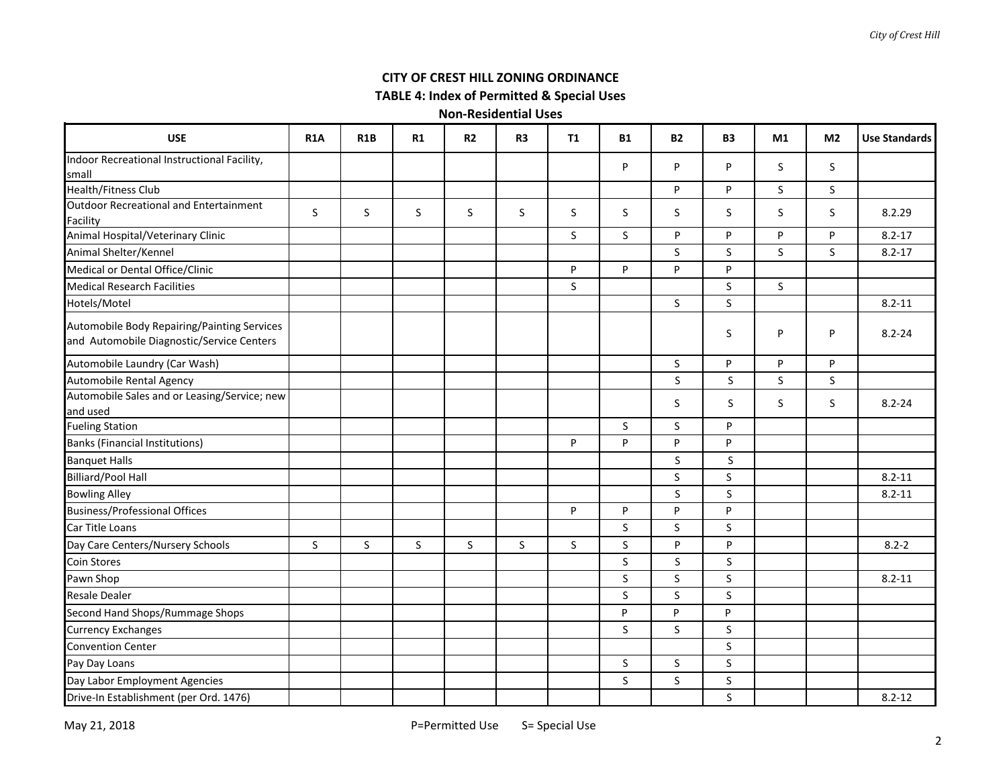#### *City of Crest Hill*

# **CITY OF CREST HILL ZONING ORDINANCE**

**TABLE 4: Index of Permitted & Special Uses**

| <b>USE</b>                                                                               | <b>R1A</b> | <b>R1B</b> | R1 | R <sub>2</sub> | R <sub>3</sub> | <b>T1</b> | <b>B1</b> | <b>B2</b>    | <b>B3</b>    | M1 | M <sub>2</sub> | <b>Use Standards</b> |
|------------------------------------------------------------------------------------------|------------|------------|----|----------------|----------------|-----------|-----------|--------------|--------------|----|----------------|----------------------|
| Indoor Recreational Instructional Facility,                                              |            |            |    |                |                |           | P         | P            | P            | S  | <sub>S</sub>   |                      |
| small                                                                                    |            |            |    |                |                |           |           |              |              |    |                |                      |
| <b>Health/Fitness Club</b>                                                               |            |            |    |                |                |           |           | P            | P            | S. | S              |                      |
| <b>Outdoor Recreational and Entertainment</b><br>Facility                                | S          | S          | S  | S              | S              | $\sf S$   | S         | S            | S.           | S  | S              | 8.2.29               |
| Animal Hospital/Veterinary Clinic                                                        |            |            |    |                |                | $\sf S$   | S.        | P            | P            | P  | P              | $8.2 - 17$           |
| Animal Shelter/Kennel                                                                    |            |            |    |                |                |           |           | $\sf S$      | $\mathsf{S}$ | S  | S              | $8.2 - 17$           |
| Medical or Dental Office/Clinic                                                          |            |            |    |                |                | P         | P         | P            | P.           |    |                |                      |
| <b>Medical Research Facilities</b>                                                       |            |            |    |                |                | S         |           |              | S.           | S  |                |                      |
| Hotels/Motel                                                                             |            |            |    |                |                |           |           | $\mathsf S$  | $\mathsf{S}$ |    |                | $8.2 - 11$           |
| Automobile Body Repairing/Painting Services<br>and Automobile Diagnostic/Service Centers |            |            |    |                |                |           |           |              | S            | P  | P              | $8.2 - 24$           |
| Automobile Laundry (Car Wash)                                                            |            |            |    |                |                |           |           | S            | P.           | P  | P              |                      |
| <b>Automobile Rental Agency</b>                                                          |            |            |    |                |                |           |           | S            | S            | S  | S              |                      |
| Automobile Sales and or Leasing/Service; new<br>and used                                 |            |            |    |                |                |           |           | <sub>S</sub> | S            | S  | S              | $8.2 - 24$           |
| <b>Fueling Station</b>                                                                   |            |            |    |                |                |           | S.        | S.           | P            |    |                |                      |
| <b>Banks (Financial Institutions)</b>                                                    |            |            |    |                |                | P         | P         | P            | P            |    |                |                      |
| <b>Banquet Halls</b>                                                                     |            |            |    |                |                |           |           | S            | S            |    |                |                      |
| <b>Billiard/Pool Hall</b>                                                                |            |            |    |                |                |           |           | $\sf S$      | $\mathsf{S}$ |    |                | $8.2 - 11$           |
| <b>Bowling Alley</b>                                                                     |            |            |    |                |                |           |           | <sub>S</sub> | S.           |    |                | $8.2 - 11$           |
| <b>Business/Professional Offices</b>                                                     |            |            |    |                |                | P         | P         | P            | P            |    |                |                      |
| Car Title Loans                                                                          |            |            |    |                |                |           | S         | S            | S.           |    |                |                      |
| Day Care Centers/Nursery Schools                                                         | S          | S          | S  | S              | S              | S         | S         | P            | P            |    |                | $8.2 - 2$            |
| Coin Stores                                                                              |            |            |    |                |                |           | S         | <sub>S</sub> | <sub>S</sub> |    |                |                      |
| Pawn Shop                                                                                |            |            |    |                |                |           | S         | $\sf S$      | $\mathsf{S}$ |    |                | $8.2 - 11$           |
| <b>Resale Dealer</b>                                                                     |            |            |    |                |                |           | S         | $\mathsf S$  | $\mathsf{S}$ |    |                |                      |
| Second Hand Shops/Rummage Shops                                                          |            |            |    |                |                |           | P         | P            | P            |    |                |                      |
| <b>Currency Exchanges</b>                                                                |            |            |    |                |                |           | S         | S            | S.           |    |                |                      |
| <b>Convention Center</b>                                                                 |            |            |    |                |                |           |           |              | S            |    |                |                      |
| Pay Day Loans                                                                            |            |            |    |                |                |           | S         | $\sf S$      | S.           |    |                |                      |
| Day Labor Employment Agencies                                                            |            |            |    |                |                |           | S         | $\sf S$      | S            |    |                |                      |
| Drive-In Establishment (per Ord. 1476)                                                   |            |            |    |                |                |           |           |              | <sub>S</sub> |    |                | $8.2 - 12$           |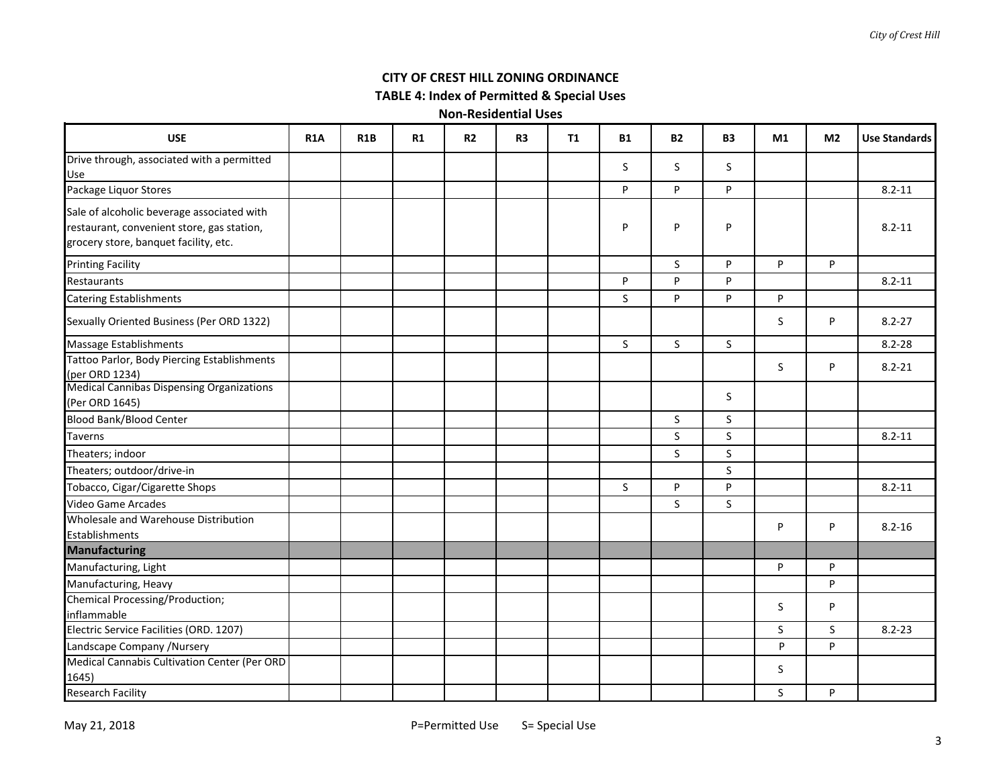# **CITY OF CREST HILL ZONING ORDINANCE**

**TABLE 4: Index of Permitted & Special Uses**

| <b>USE</b>                                                                                                                        | <b>R1A</b> | R <sub>1</sub> B | R1 | R <sub>2</sub> | R <sub>3</sub> | <b>T1</b> | <b>B1</b>   | <b>B2</b>    | <b>B3</b>    | M1           | M <sub>2</sub> | <b>Use Standards</b> |
|-----------------------------------------------------------------------------------------------------------------------------------|------------|------------------|----|----------------|----------------|-----------|-------------|--------------|--------------|--------------|----------------|----------------------|
| Drive through, associated with a permitted<br>Use                                                                                 |            |                  |    |                |                |           | S           | S.           | S.           |              |                |                      |
| Package Liquor Stores                                                                                                             |            |                  |    |                |                |           | P           | P            | P            |              |                | $8.2 - 11$           |
| Sale of alcoholic beverage associated with<br>restaurant, convenient store, gas station,<br>grocery store, banquet facility, etc. |            |                  |    |                |                |           | P           | P            | P            |              |                | $8.2 - 11$           |
| <b>Printing Facility</b>                                                                                                          |            |                  |    |                |                |           |             | S            | P            | P            | P              |                      |
| Restaurants                                                                                                                       |            |                  |    |                |                |           | P           | P            | P            |              |                | $8.2 - 11$           |
| <b>Catering Establishments</b>                                                                                                    |            |                  |    |                |                |           | S           | P            | P            | P            |                |                      |
| Sexually Oriented Business (Per ORD 1322)                                                                                         |            |                  |    |                |                |           |             |              |              | <sub>S</sub> | P              | $8.2 - 27$           |
| Massage Establishments                                                                                                            |            |                  |    |                |                |           | S.          | $\mathsf{S}$ | $\mathsf{S}$ |              |                | $8.2 - 28$           |
| Tattoo Parlor, Body Piercing Establishments<br>(per ORD 1234)                                                                     |            |                  |    |                |                |           |             |              |              | S            | P              | $8.2 - 21$           |
| Medical Cannibas Dispensing Organizations<br>(Per ORD 1645)                                                                       |            |                  |    |                |                |           |             |              | S            |              |                |                      |
| <b>Blood Bank/Blood Center</b>                                                                                                    |            |                  |    |                |                |           |             | S            | S.           |              |                |                      |
| <b>Taverns</b>                                                                                                                    |            |                  |    |                |                |           |             | S.           | S.           |              |                | $8.2 - 11$           |
| Theaters; indoor                                                                                                                  |            |                  |    |                |                |           |             | $\mathsf{S}$ | S.           |              |                |                      |
| Theaters; outdoor/drive-in                                                                                                        |            |                  |    |                |                |           |             |              | S.           |              |                |                      |
| Tobacco, Cigar/Cigarette Shops                                                                                                    |            |                  |    |                |                |           | $\mathsf S$ | P            | P            |              |                | $8.2 - 11$           |
| <b>Video Game Arcades</b>                                                                                                         |            |                  |    |                |                |           |             | S.           | S.           |              |                |                      |
| Wholesale and Warehouse Distribution<br>Establishments                                                                            |            |                  |    |                |                |           |             |              |              | P            | P              | $8.2 - 16$           |
| <b>Manufacturing</b>                                                                                                              |            |                  |    |                |                |           |             |              |              |              |                |                      |
| Manufacturing, Light                                                                                                              |            |                  |    |                |                |           |             |              |              | P            | P              |                      |
| Manufacturing, Heavy                                                                                                              |            |                  |    |                |                |           |             |              |              |              | P              |                      |
| <b>Chemical Processing/Production;</b><br>inflammable                                                                             |            |                  |    |                |                |           |             |              |              | S            | P              |                      |
| Electric Service Facilities (ORD. 1207)                                                                                           |            |                  |    |                |                |           |             |              |              | S            | S              | $8.2 - 23$           |
| Landscape Company / Nursery                                                                                                       |            |                  |    |                |                |           |             |              |              | P            | P              |                      |
| Medical Cannabis Cultivation Center (Per ORD<br>1645)                                                                             |            |                  |    |                |                |           |             |              |              | S            |                |                      |
| <b>Research Facility</b>                                                                                                          |            |                  |    |                |                |           |             |              |              | S            | P              |                      |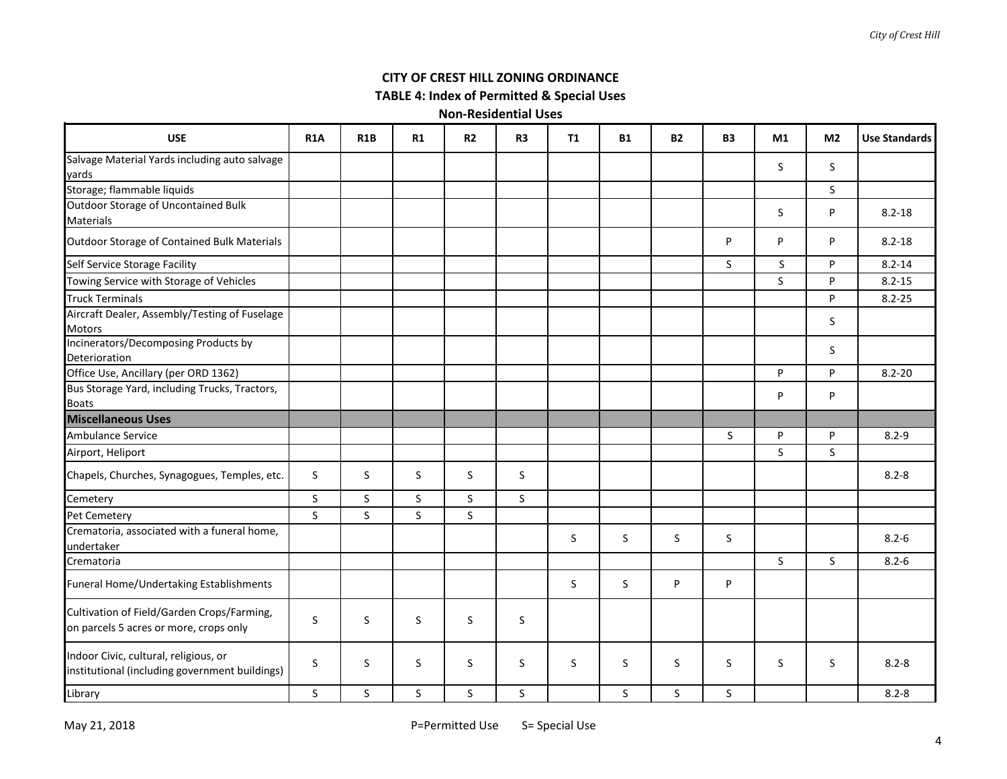# **CITY OF CREST HILL ZONING ORDINANCE**

# **TABLE 4: Index of Permitted & Special Uses**

| <b>USE</b>                                                                              | <b>R1A</b>   | <b>R1B</b> | R1 | R <sub>2</sub> | R <sub>3</sub> | <b>T1</b> | <b>B1</b>    | <b>B2</b>    | <b>B3</b> | M1 | M <sub>2</sub> | <b>Use Standards</b> |
|-----------------------------------------------------------------------------------------|--------------|------------|----|----------------|----------------|-----------|--------------|--------------|-----------|----|----------------|----------------------|
| Salvage Material Yards including auto salvage<br>yards                                  |              |            |    |                |                |           |              |              |           | S. | S.             |                      |
| Storage; flammable liquids                                                              |              |            |    |                |                |           |              |              |           |    | S              |                      |
| Outdoor Storage of Uncontained Bulk<br><b>Materials</b>                                 |              |            |    |                |                |           |              |              |           | S. | P              | $8.2 - 18$           |
| Outdoor Storage of Contained Bulk Materials                                             |              |            |    |                |                |           |              |              | P         | P  | P              | $8.2 - 18$           |
| Self Service Storage Facility                                                           |              |            |    |                |                |           |              |              | S         | S  | P              | $8.2 - 14$           |
| Towing Service with Storage of Vehicles                                                 |              |            |    |                |                |           |              |              |           | S  | P              | $8.2 - 15$           |
| <b>Truck Terminals</b>                                                                  |              |            |    |                |                |           |              |              |           |    | P              | $8.2 - 25$           |
| Aircraft Dealer, Assembly/Testing of Fuselage<br>Motors                                 |              |            |    |                |                |           |              |              |           |    | S              |                      |
| Incinerators/Decomposing Products by<br>Deterioration                                   |              |            |    |                |                |           |              |              |           |    | S              |                      |
| Office Use, Ancillary (per ORD 1362)                                                    |              |            |    |                |                |           |              |              |           | P  | P              | $8.2 - 20$           |
| Bus Storage Yard, including Trucks, Tractors,<br><b>Boats</b>                           |              |            |    |                |                |           |              |              |           | P  | P              |                      |
| <b>Miscellaneous Uses</b>                                                               |              |            |    |                |                |           |              |              |           |    |                |                      |
| Ambulance Service                                                                       |              |            |    |                |                |           |              |              | S         | P  | P              | $8.2 - 9$            |
| Airport, Heliport                                                                       |              |            |    |                |                |           |              |              |           | S. | S              |                      |
| Chapels, Churches, Synagogues, Temples, etc.                                            | S            | S          | S. | S              | S              |           |              |              |           |    |                | $8.2 - 8$            |
| Cemetery                                                                                | S            | S          | S. | S.             | S.             |           |              |              |           |    |                |                      |
| Pet Cemetery                                                                            | $\mathsf{S}$ | S          | S. | S.             |                |           |              |              |           |    |                |                      |
| Crematoria, associated with a funeral home,<br>undertaker                               |              |            |    |                |                | S         | S            | S            | $\sf S$   |    |                | $8.2 - 6$            |
| Crematoria                                                                              |              |            |    |                |                |           |              |              |           | S  | $\mathsf{S}$   | $8.2 - 6$            |
| Funeral Home/Undertaking Establishments                                                 |              |            |    |                |                | S         | <sub>S</sub> | P            | P         |    |                |                      |
| Cultivation of Field/Garden Crops/Farming,<br>on parcels 5 acres or more, crops only    | S            | S          | S  | <sub>S</sub>   | S              |           |              |              |           |    |                |                      |
| Indoor Civic, cultural, religious, or<br>institutional (including government buildings) | S            | S          | S  | S              | <sub>S</sub>   | S         | <sub>S</sub> | S            | S         | S  | S              | $8.2 - 8$            |
| Library                                                                                 | S            | S.         | S  | S.             | <sub>S</sub>   |           | S.           | $\mathsf{S}$ | S.        |    |                | $8.2 - 8$            |